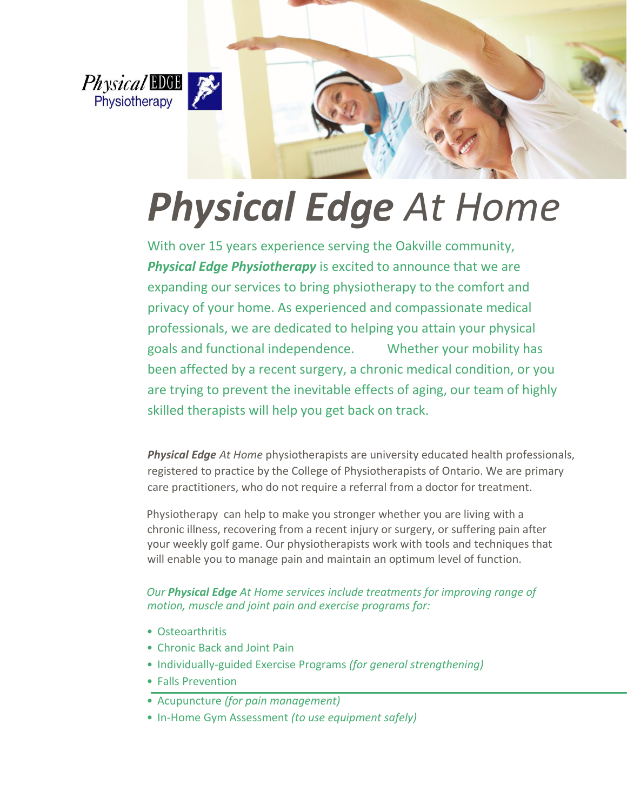



# *Physical Edge At Home*

With over 15 years experience serving the Oakville community, **Physical Edge Physiotherapy** is excited to announce that we are expanding our services to bring physiotherapy to the comfort and privacy of your home. As experienced and compassionate medical professionals, we are dedicated to helping you attain your physical goals and functional independence. Whether your mobility has been affected by a recent surgery, a chronic medical condition, or you are trying to prevent the inevitable effects of aging, our team of highly skilled therapists will help you get back on track.

*Physical Edge At Home* physiotherapists are university educated health professionals, registered to practice by the College of Physiotherapists of Ontario. We are primary care practitioners, who do not require a referral from a doctor for treatment.

Physiotherapy can help to make you stronger whether you are living with a chronic illness, recovering from a recent injury or surgery, or suffering pain after your weekly golf game. Our physiotherapists work with tools and techniques that will enable you to manage pain and maintain an optimum level of function.

#### *Our Physical Edge At Home services include treatments for improving range of motion, muscle and joint pain and exercise programs for:*

- Osteoarthritis
- Chronic Back and Joint Pain
- Individually-guided Exercise Programs *(for general strengthening)*
- Falls Prevention
- Acupuncture *(for pain management)*
- In-Home Gym Assessment *(to use equipment safely)*